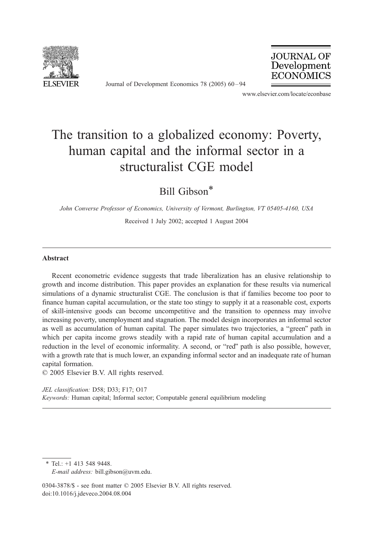

Journal of Development Economics 78 (2005) 60 – 94



www.elsevier.com/locate/econbase

# The transition to a globalized economy: Poverty, human capital and the informal sector in a structuralist CGE model

Bill Gibson\*

John Converse Professor of Economics, University of Vermont, Burlington, VT 05405-4160, USA

Received 1 July 2002; accepted 1 August 2004

#### Abstract

Recent econometric evidence suggests that trade liberalization has an elusive relationship to growth and income distribution. This paper provides an explanation for these results via numerical simulations of a dynamic structuralist CGE. The conclusion is that if families become too poor to finance human capital accumulation, or the state too stingy to supply it at a reasonable cost, exports of skill-intensive goods can become uncompetitive and the transition to openness may involve increasing poverty, unemployment and stagnation. The model design incorporates an informal sector as well as accumulation of human capital. The paper simulates two trajectories, a "green" path in which per capita income grows steadily with a rapid rate of human capital accumulation and a reduction in the level of economic informality. A second, or "red" path is also possible, however, with a growth rate that is much lower, an expanding informal sector and an inadequate rate of human capital formation.

 $© 2005 Elsevier B.V. All rights reserved.$ 

JEL classification: D58; D33; F17; O17 Keywords: Human capital; Informal sector; Computable general equilibrium modeling

\* Tel.: +1 413 548 9448.

E-mail address: bill.gibson@uvm.edu.

0304-3878/\$ - see front matter © 2005 Elsevier B.V. All rights reserved. doi:10.1016/j.jdeveco.2004.08.004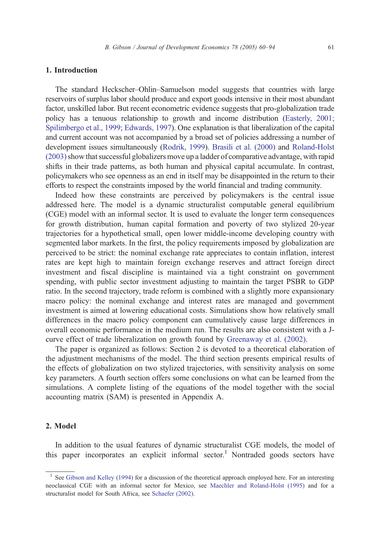### 1. Introduction

The standard Heckscher–Ohlin–Samuelson model suggests that countries with large reservoirs of surplus labor should produce and export goods intensive in their most abundant factor, unskilled labor. But recent econometric evidence suggests that pro-globalization trade policy has a tenuous relationship to growth and income distribution ([Easterly, 2001;](#page--1-0) Spilimbergo et al., 1999; Edwards, 1997). One explanation is that liberalization of the capital and current account was not accompanied by a broad set of policies addressing a number of development issues simultaneously ([Rodrik, 1999\)](#page--1-0). [Brasili et al. \(2000\)](#page--1-0) and [Roland-Holst](#page--1-0) (2003) show that successful globalizers move up a ladder of comparative advantage, with rapid shifts in their trade patterns, as both human and physical capital accumulate. In contrast, policymakers who see openness as an end in itself may be disappointed in the return to their efforts to respect the constraints imposed by the world financial and trading community.

Indeed how these constraints are perceived by policymakers is the central issue addressed here. The model is a dynamic structuralist computable general equilibrium (CGE) model with an informal sector. It is used to evaluate the longer term consequences for growth distribution, human capital formation and poverty of two stylized 20-year trajectories for a hypothetical small, open lower middle-income developing country with segmented labor markets. In the first, the policy requirements imposed by globalization are perceived to be strict: the nominal exchange rate appreciates to contain inflation, interest rates are kept high to maintain foreign exchange reserves and attract foreign direct investment and fiscal discipline is maintained via a tight constraint on government spending, with public sector investment adjusting to maintain the target PSBR to GDP ratio. In the second trajectory, trade reform is combined with a slightly more expansionary macro policy: the nominal exchange and interest rates are managed and government investment is aimed at lowering educational costs. Simulations show how relatively small differences in the macro policy component can cumulatively cause large differences in overall economic performance in the medium run. The results are also consistent with a Jcurve effect of trade liberalization on growth found by [Greenaway et al. \(2002\).](#page--1-0)

The paper is organized as follows: Section 2 is devoted to a theoretical elaboration of the adjustment mechanisms of the model. The third section presents empirical results of the effects of globalization on two stylized trajectories, with sensitivity analysis on some key parameters. A fourth section offers some conclusions on what can be learned from the simulations. A complete listing of the equations of the model together with the social accounting matrix (SAM) is presented in Appendix A.

### 2. Model

In addition to the usual features of dynamic structuralist CGE models, the model of this paper incorporates an explicit informal sector.<sup>1</sup> Nontraded goods sectors have

<sup>&</sup>lt;sup>1</sup> See [Gibson and Kelley \(1994\)](#page--1-0) for a discussion of the theoretical approach employed here. For an interesting neoclassical CGE with an informal sector for Mexico, see [Maechler and Roland-Holst \(1995\)](#page--1-0) and for a structuralist model for South Africa, see [Schaefer \(2002\).](#page--1-0)